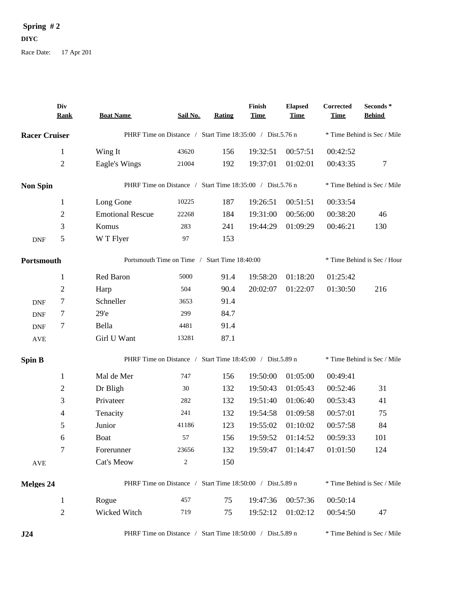## **Spring # 2**

**DIYC**

Race Date: 17 Apr 201

|                      | Div<br><b>Rank</b> | <b>Boat Name</b>                                          | Sail No.                                                  | Rating | Finish<br><b>Time</b> | <b>Elapsed</b><br><b>Time</b> | Corrected<br><b>Time</b> | Seconds *<br><b>Behind</b>  |
|----------------------|--------------------|-----------------------------------------------------------|-----------------------------------------------------------|--------|-----------------------|-------------------------------|--------------------------|-----------------------------|
| <b>Racer Cruiser</b> |                    | PHRF Time on Distance / Start Time 18:35:00 / Dist.5.76 n |                                                           |        |                       |                               |                          | * Time Behind is Sec / Mile |
|                      | $\mathbf{1}$       | Wing It                                                   | 43620                                                     | 156    | 19:32:51              | 00:57:51                      | 00:42:52                 |                             |
|                      | $\mathfrak{2}$     | Eagle's Wings                                             | 21004                                                     | 192    | 19:37:01              | 01:02:01                      | 00:43:35                 | $\tau$                      |
| <b>Non Spin</b>      |                    | PHRF Time on Distance / Start Time 18:35:00 / Dist.5.76 n |                                                           |        |                       |                               |                          | * Time Behind is Sec / Mile |
|                      | $\mathbf{1}$       | Long Gone                                                 | 10225                                                     | 187    | 19:26:51              | 00:51:51                      | 00:33:54                 |                             |
|                      | $\mathbf{2}$       | <b>Emotional Rescue</b>                                   | 22268                                                     | 184    | 19:31:00              | 00:56:00                      | 00:38:20                 | 46                          |
|                      | 3                  | Komus                                                     | 283                                                       | 241    | 19:44:29              | 01:09:29                      | 00:46:21                 | 130                         |
| <b>DNF</b>           | 5                  | W T Flyer                                                 | 97                                                        | 153    |                       |                               |                          |                             |
| Portsmouth           |                    |                                                           | Portsmouth Time on Time / Start Time 18:40:00             |        |                       |                               |                          | * Time Behind is Sec / Hour |
|                      | $\mathbf{1}$       | Red Baron                                                 | 5000                                                      | 91.4   | 19:58:20              | 01:18:20                      | 01:25:42                 |                             |
|                      | $\overline{2}$     | Harp                                                      | 504                                                       | 90.4   | 20:02:07              | 01:22:07                      | 01:30:50                 | 216                         |
| <b>DNF</b>           | 7                  | Schneller                                                 | 3653                                                      | 91.4   |                       |                               |                          |                             |
| <b>DNF</b>           | 7                  | 29 <sup>o</sup>                                           | 299                                                       | 84.7   |                       |                               |                          |                             |
| <b>DNF</b>           | 7                  | Bella                                                     | 4481                                                      | 91.4   |                       |                               |                          |                             |
| $\operatorname{AVE}$ |                    | Girl U Want                                               | 13281                                                     | 87.1   |                       |                               |                          |                             |
| <b>Spin B</b>        |                    |                                                           | PHRF Time on Distance / Start Time 18:45:00 / Dist.5.89 n |        |                       |                               |                          | * Time Behind is Sec / Mile |
|                      | $\mathbf{1}$       | Mal de Mer                                                | 747                                                       | 156    | 19:50:00              | 01:05:00                      | 00:49:41                 |                             |
|                      | $\mathbf{2}$       | Dr Bligh                                                  | 30                                                        | 132    | 19:50:43              | 01:05:43                      | 00:52:46                 | 31                          |
|                      | 3                  | Privateer                                                 | 282                                                       | 132    | 19:51:40              | 01:06:40                      | 00:53:43                 | 41                          |
|                      | 4                  | Tenacity                                                  | 241                                                       | 132    | 19:54:58              | 01:09:58                      | 00:57:01                 | 75                          |
|                      | 5                  | Junior                                                    | 41186                                                     | 123    | 19:55:02              | 01:10:02                      | 00:57:58                 | 84                          |
|                      | 6                  | Boat                                                      | 57                                                        | 156    |                       | 19:59:52 01:14:52             | 00:59:33                 | 101                         |
|                      | 7                  | Forerunner                                                | 23656                                                     | 132    | 19:59:47              | 01:14:47                      | 01:01:50                 | 124                         |
| AVE                  |                    | Cat's Meow                                                | $\overline{c}$                                            | 150    |                       |                               |                          |                             |
| <b>Melges 24</b>     |                    |                                                           | PHRF Time on Distance / Start Time 18:50:00 / Dist.5.89 n |        |                       |                               |                          | * Time Behind is Sec / Mile |
|                      | $\mathbf{1}$       | Rogue                                                     | 457                                                       | 75     | 19:47:36              | 00:57:36                      | 00:50:14                 |                             |
|                      | $\sqrt{2}$         | Wicked Witch                                              | 719                                                       | 75     | 19:52:12              | 01:02:12                      | 00:54:50                 | 47                          |
| J24                  |                    | PHRF Time on Distance / Start Time 18:50:00 / Dist.5.89 n |                                                           |        |                       |                               |                          | * Time Behind is Sec / Mile |